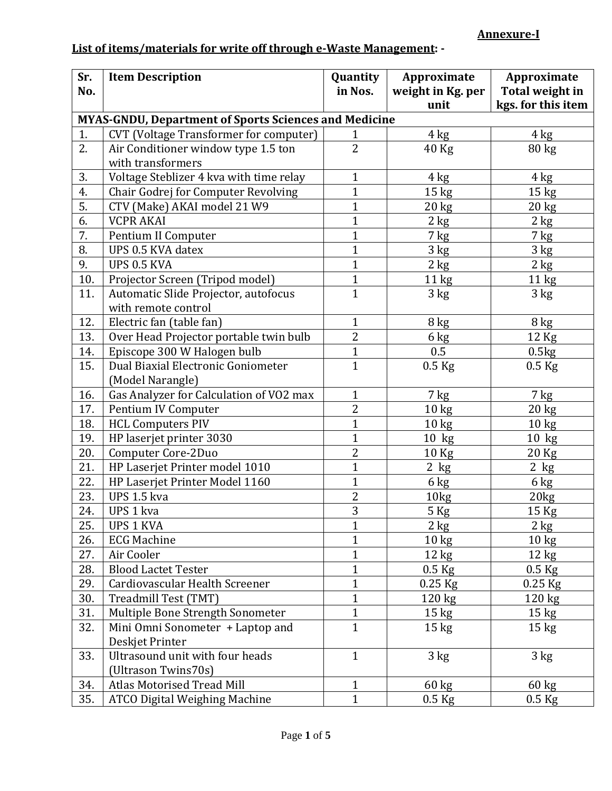## **List of items/materials for write off through e-Waste Management: -**

| Sr.                                                          | <b>Item Description</b>                       | Quantity       | Approximate       | Approximate        |  |
|--------------------------------------------------------------|-----------------------------------------------|----------------|-------------------|--------------------|--|
| No.                                                          |                                               | in Nos.        | weight in Kg. per | Total weight in    |  |
|                                                              |                                               |                | unit              | kgs. for this item |  |
| <b>MYAS-GNDU, Department of Sports Sciences and Medicine</b> |                                               |                |                   |                    |  |
| 1.                                                           | <b>CVT</b> (Voltage Transformer for computer) | 1              | 4 kg              | 4 kg               |  |
| 2.                                                           | Air Conditioner window type 1.5 ton           | $\overline{2}$ | 40 Kg             | 80 kg              |  |
|                                                              | with transformers                             |                |                   |                    |  |
| 3.                                                           | Voltage Steblizer 4 kva with time relay       | $\mathbf{1}$   | 4 kg              | 4 kg               |  |
| 4.                                                           | Chair Godrej for Computer Revolving           | $\mathbf{1}$   | 15 <sub>kg</sub>  | 15 <sub>kg</sub>   |  |
| 5.                                                           | CTV (Make) AKAI model 21 W9                   | $\mathbf{1}$   | $20 \text{ kg}$   | 20 kg              |  |
| 6.                                                           | <b>VCPR AKAI</b>                              | $\mathbf{1}$   | 2 kg              | 2 kg               |  |
| 7.                                                           | Pentium II Computer                           | $\overline{1}$ | 7 kg              | $7$ kg             |  |
| 8.                                                           | UPS 0.5 KVA datex                             | $\overline{1}$ | 3 kg              | 3 kg               |  |
| 9.                                                           | <b>UPS 0.5 KVA</b>                            | $\overline{1}$ | $2$ kg            | $2 \text{ kg}$     |  |
| 10.                                                          | Projector Screen (Tripod model)               | $\mathbf{1}$   | 11 kg             | 11 <sub>kg</sub>   |  |
| 11.                                                          | Automatic Slide Projector, autofocus          | $\overline{1}$ | 3 kg              | 3 kg               |  |
|                                                              | with remote control                           |                |                   |                    |  |
| 12.                                                          | Electric fan (table fan)                      | $\mathbf{1}$   | 8 kg              | 8 kg               |  |
| 13.                                                          | Over Head Projector portable twin bulb        | $\overline{2}$ | 6 kg              | $12$ Kg            |  |
| 14.                                                          | Episcope 300 W Halogen bulb                   | $\mathbf{1}$   | 0.5               | 0.5kg              |  |
| 15.                                                          | Dual Biaxial Electronic Goniometer            | $\overline{1}$ | $0.5$ Kg          | $0.5$ Kg           |  |
|                                                              | (Model Narangle)                              |                |                   |                    |  |
| 16.                                                          | Gas Analyzer for Calculation of VO2 max       | $\mathbf{1}$   | 7 kg              | 7 kg               |  |
| 17.                                                          | Pentium IV Computer                           | 2              | 10 <sub>kg</sub>  | $20 \text{ kg}$    |  |
| 18.                                                          | <b>HCL Computers PIV</b>                      | $\overline{1}$ | 10 <sub>kg</sub>  | 10 <sub>kg</sub>   |  |
| 19.                                                          | HP laserjet printer 3030                      | $\overline{1}$ | $10$ kg           | $10$ kg            |  |
| 20.                                                          | Computer Core-2Duo                            | $\overline{2}$ | 10 <sub>kg</sub>  | 20 Kg              |  |
| 21.                                                          | HP Laserjet Printer model 1010                | $\mathbf{1}$   | $2$ kg            | $2$ kg             |  |
| 22.                                                          | HP Laserjet Printer Model 1160                | $\mathbf{1}$   | 6 kg              | 6 kg               |  |
| 23.                                                          | UPS 1.5 kva                                   | $\overline{2}$ | 10kg              | 20 <sub>kg</sub>   |  |
| 24.                                                          | UPS 1 kva                                     | 3              | 5 Kg              | 15 Kg              |  |
| 25.                                                          | <b>UPS 1 KVA</b>                              | $\mathbf{1}$   | $2$ kg            | 2 kg               |  |
| 26.                                                          | <b>ECG Machine</b>                            | $\mathbf{1}$   | $10 \text{ kg}$   | $10 \text{ kg}$    |  |
| 27.                                                          | Air Cooler                                    | $\overline{1}$ | $12 \text{ kg}$   | $12 \text{ kg}$    |  |
| 28.                                                          | <b>Blood Lactet Tester</b>                    | $\mathbf{1}$   | $0.5$ Kg          | $0.5$ Kg           |  |
| 29.                                                          | Cardiovascular Health Screener                | $\mathbf{1}$   | 0.25 Kg           | $0.25$ Kg          |  |
| 30.                                                          | Treadmill Test (TMT)                          | $\mathbf{1}$   | 120 kg            | $120 \text{ kg}$   |  |
| 31.                                                          | Multiple Bone Strength Sonometer              | $\mathbf{1}$   | $15 \text{ kg}$   | 15 kg              |  |
| 32.                                                          | Mini Omni Sonometer + Laptop and              | $\mathbf{1}$   | $15 \text{ kg}$   | $15 \text{ kg}$    |  |
|                                                              | Deskjet Printer                               |                |                   |                    |  |
| 33.                                                          | Ultrasound unit with four heads               | $\mathbf{1}$   | $3 \text{ kg}$    | 3 kg               |  |
|                                                              | (Ultrason Twins70s)                           |                |                   |                    |  |
| 34.                                                          | <b>Atlas Motorised Tread Mill</b>             | 1              | $60 \text{ kg}$   | $60 \text{ kg}$    |  |
| 35.                                                          | <b>ATCO Digital Weighing Machine</b>          | $\overline{1}$ | $0.5$ Kg          | $0.5$ Kg           |  |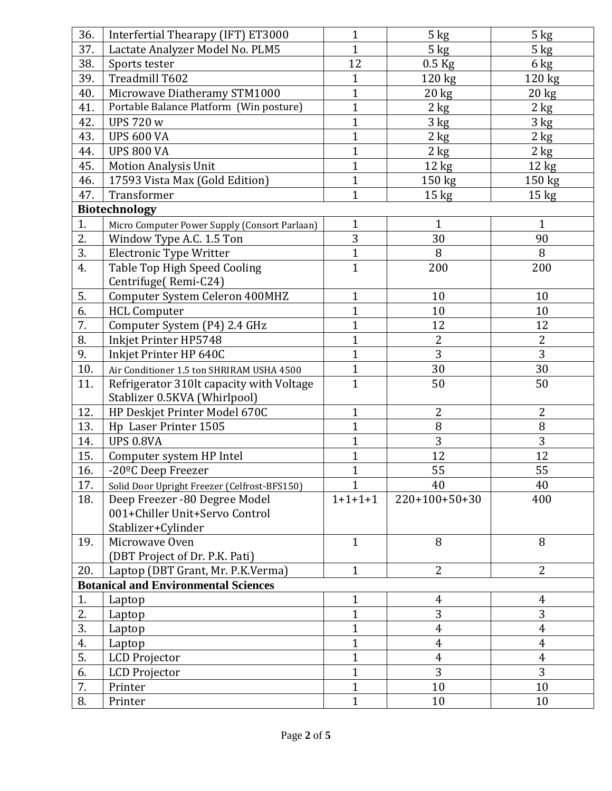| 36. | Interfertial Thearapy (IFT) ET3000                                       | $\mathbf{1}$   | $5 \text{ kg}$      | 5 kg                    |
|-----|--------------------------------------------------------------------------|----------------|---------------------|-------------------------|
| 37. | Lactate Analyzer Model No. PLM5                                          | $\mathbf{1}$   | 5 kg                | $5 \text{ kg}$          |
| 38. | Sports tester                                                            | 12             | $0.5$ Kg            | 6 kg                    |
| 39. | Treadmill T602                                                           | $\mathbf{1}$   | 120 kg              | 120 kg                  |
| 40. | Microwave Diatheramy STM1000                                             | $\mathbf{1}$   | $20 \text{ kg}$     | $20 \text{ kg}$         |
| 41. | Portable Balance Platform (Win posture)                                  | $\mathbf{1}$   | $2 \text{ kg}$      | $2$ kg                  |
| 42. | <b>UPS 720 w</b>                                                         | $\mathbf{1}$   | 3 kg                | 3 kg                    |
| 43. | <b>UPS 600 VA</b>                                                        | $\mathbf{1}$   | $2$ kg              | 2 kg                    |
| 44. | <b>UPS 800 VA</b>                                                        | $\mathbf{1}$   | $2$ kg              | 2 kg                    |
| 45. | <b>Motion Analysis Unit</b>                                              | $\mathbf{1}$   | 12 kg               | 12 kg                   |
| 46. | 17593 Vista Max (Gold Edition)                                           | $\mathbf{1}$   | 150 kg              | 150 kg                  |
| 47. | Transformer                                                              | $\mathbf{1}$   | $15 \text{ kg}$     | $15 \text{ kg}$         |
|     | <b>Biotechnology</b>                                                     |                |                     |                         |
| 1.  | Micro Computer Power Supply (Consort Parlaan)                            | $\mathbf{1}$   | $\mathbf{1}$        | $\mathbf{1}$            |
| 2.  | Window Type A.C. 1.5 Ton                                                 | 3              | 30                  | 90                      |
| 3.  | <b>Electronic Type Writter</b>                                           | $\mathbf{1}$   | 8                   | 8                       |
| 4.  | Table Top High Speed Cooling                                             | $\overline{1}$ | 200                 | 200                     |
|     | Centrifuge(Remi-C24)                                                     |                |                     |                         |
| 5.  | <b>Computer System Celeron 400MHZ</b>                                    | $\mathbf{1}$   | 10                  | 10                      |
| 6.  | <b>HCL Computer</b>                                                      | $\mathbf{1}$   | 10                  | 10                      |
| 7.  | Computer System (P4) 2.4 GHz                                             | $\mathbf{1}$   | 12                  | 12                      |
| 8.  | Inkjet Printer HP5748                                                    | $\mathbf{1}$   | $\overline{2}$      | $\overline{2}$          |
| 9.  | Inkjet Printer HP 640C                                                   | $\mathbf{1}$   | 3                   | 3                       |
| 10. |                                                                          | $\mathbf{1}$   | 30                  | 30                      |
| 11. | Air Conditioner 1.5 ton SHRIRAM USHA 4500                                | $\mathbf{1}$   | 50                  | 50                      |
|     | Refrigerator 310lt capacity with Voltage<br>Stablizer 0.5KVA (Whirlpool) |                |                     |                         |
| 12. | HP Deskjet Printer Model 670C                                            | $\mathbf{1}$   | $\overline{2}$      | 2                       |
| 13. | Hp Laser Printer 1505                                                    | $\mathbf{1}$   | 8                   | 8                       |
| 14. | <b>UPS 0.8VA</b>                                                         | $\mathbf{1}$   | 3                   | $\overline{3}$          |
| 15. | Computer system HP Intel                                                 | $\mathbf{1}$   | 12                  | 12                      |
| 16. | -20 <sup>o</sup> C Deep Freezer                                          | 1              | 55                  | 55                      |
| 17. | Solid Door Upright Freezer (Celfrost-BFS150)                             | $\mathbf{1}$   | 40                  | 40                      |
| 18. | Deep Freezer -80 Degree Model                                            | $1+1+1+1$      | $220+100+50+30$     | 400                     |
|     | 001+Chiller Unit+Servo Control                                           |                |                     |                         |
|     | Stablizer+Cylinder                                                       |                |                     |                         |
| 19. | Microwave Oven                                                           | $\mathbf{1}$   | 8                   | 8                       |
|     | (DBT Project of Dr. P.K. Pati)                                           |                |                     |                         |
| 20. | Laptop (DBT Grant, Mr. P.K.Verma)                                        | $\mathbf{1}$   | $\overline{2}$      | $\overline{2}$          |
|     | <b>Botanical and Environmental Sciences</b>                              |                |                     |                         |
| 1.  | Laptop                                                                   | $\mathbf{1}$   | $\overline{4}$      | 4                       |
| 2.  | Laptop                                                                   | $\mathbf{1}$   | 3                   | 3                       |
| 3.  |                                                                          | $\mathbf{1}$   | $\overline{4}$      | $\overline{\mathbf{4}}$ |
| 4.  | Laptop                                                                   | $\mathbf{1}$   | $\overline{4}$      | $\overline{4}$          |
| 5.  | Laptop                                                                   | $\mathbf{1}$   |                     | $\overline{4}$          |
|     | LCD Projector                                                            | $\mathbf{1}$   | $\overline{4}$<br>3 | 3                       |
| 6.  | LCD Projector                                                            |                |                     |                         |
| 7.  | Printer                                                                  | $\mathbf{1}$   | 10                  | 10                      |
| 8.  | Printer                                                                  | $\mathbf{1}$   | 10                  | 10                      |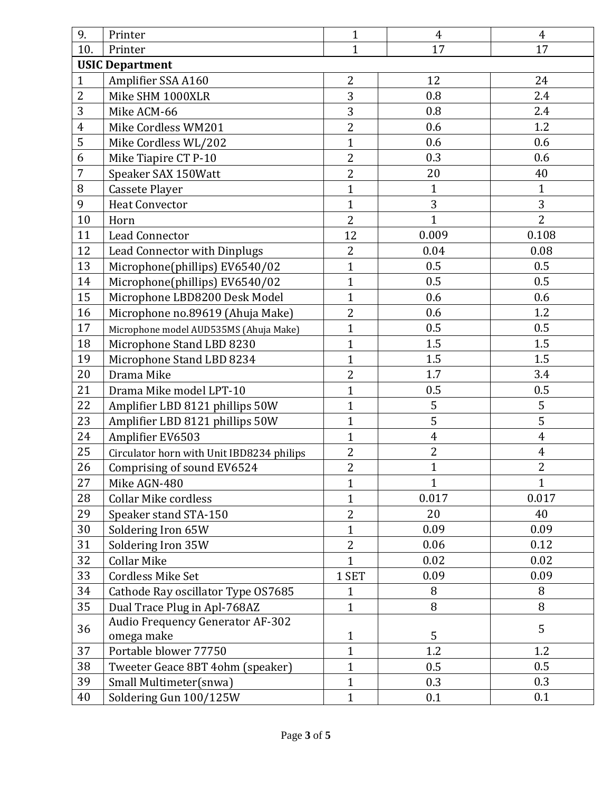| 9.             | Printer                                   | $\mathbf{1}$   | $\overline{4}$ | $\overline{4}$          |  |  |
|----------------|-------------------------------------------|----------------|----------------|-------------------------|--|--|
| 10.            | Printer                                   | $\mathbf{1}$   | 17             | 17                      |  |  |
|                | <b>USIC Department</b>                    |                |                |                         |  |  |
| $\mathbf{1}$   | Amplifier SSA A160                        | $\overline{2}$ | 12             | 24                      |  |  |
| $\overline{2}$ | Mike SHM 1000XLR                          | 3              | 0.8            | 2.4                     |  |  |
| 3              | Mike ACM-66                               | $\overline{3}$ | 0.8            | 2.4                     |  |  |
| $\overline{4}$ | Mike Cordless WM201                       | $\overline{2}$ | 0.6            | 1.2                     |  |  |
| 5              | Mike Cordless WL/202                      | $\mathbf{1}$   | 0.6            | 0.6                     |  |  |
| 6              | Mike Tiapire CT P-10                      | $\overline{2}$ | 0.3            | 0.6                     |  |  |
| $\overline{7}$ | Speaker SAX 150Watt                       | $\overline{2}$ | 20             | 40                      |  |  |
| 8              | Cassete Player                            | $\mathbf{1}$   | $\mathbf{1}$   | $\mathbf{1}$            |  |  |
| 9              | <b>Heat Convector</b>                     | $\mathbf{1}$   | 3              | 3                       |  |  |
| 10             | Horn                                      | $\overline{2}$ | $\overline{1}$ | $\overline{2}$          |  |  |
| 11             | <b>Lead Connector</b>                     | 12             | 0.009          | 0.108                   |  |  |
| 12             | Lead Connector with Dinplugs              | $\overline{2}$ | 0.04           | 0.08                    |  |  |
| 13             | Microphone(phillips) EV6540/02            | $\mathbf{1}$   | 0.5            | 0.5                     |  |  |
| 14             | Microphone(phillips) EV6540/02            | $\mathbf{1}$   | 0.5            | 0.5                     |  |  |
| 15             | Microphone LBD8200 Desk Model             | $\overline{1}$ | 0.6            | 0.6                     |  |  |
| 16             | Microphone no.89619 (Ahuja Make)          | $\overline{2}$ | 0.6            | 1.2                     |  |  |
| 17             | Microphone model AUD535MS (Ahuja Make)    | $\mathbf{1}$   | 0.5            | 0.5                     |  |  |
| 18             | Microphone Stand LBD 8230                 | $\overline{1}$ | 1.5            | 1.5                     |  |  |
| 19             | Microphone Stand LBD 8234                 | $\mathbf{1}$   | 1.5            | 1.5                     |  |  |
| 20             | Drama Mike                                | $\overline{c}$ | 1.7            | 3.4                     |  |  |
| 21             | Drama Mike model LPT-10                   | $\mathbf{1}$   | 0.5            | 0.5                     |  |  |
| 22             | Amplifier LBD 8121 phillips 50W           | $\mathbf{1}$   | 5              | 5                       |  |  |
| 23             | Amplifier LBD 8121 phillips 50W           | $\mathbf{1}$   | 5              | 5                       |  |  |
| 24             | Amplifier EV6503                          | $\mathbf{1}$   | $\overline{4}$ | $\overline{4}$          |  |  |
| 25             | Circulator horn with Unit IBD8234 philips | $\overline{2}$ | $\overline{2}$ | $\overline{\mathbf{4}}$ |  |  |
| 26             | Comprising of sound EV6524                | $\overline{2}$ | $\mathbf{1}$   | $\overline{2}$          |  |  |
| 27             | Mike AGN-480                              | $\mathbf{1}$   | $\mathbf{1}$   | $\mathbf{1}$            |  |  |
| 28             | <b>Collar Mike cordless</b>               | $\mathbf{1}$   | 0.017          | 0.017                   |  |  |
| 29             | Speaker stand STA-150                     | $\overline{2}$ | 20             | 40                      |  |  |
| 30             | Soldering Iron 65W                        | $\mathbf{1}$   | 0.09           | 0.09                    |  |  |
| 31             | Soldering Iron 35W                        | $\overline{2}$ | 0.06           | 0.12                    |  |  |
| 32             | <b>Collar Mike</b>                        | $\overline{1}$ | 0.02           | 0.02                    |  |  |
| 33             | <b>Cordless Mike Set</b>                  | 1 SET          | 0.09           | 0.09                    |  |  |
| 34             | Cathode Ray oscillator Type OS7685        | 1              | 8              | 8                       |  |  |
| 35             | Dual Trace Plug in Apl-768AZ              | $\mathbf{1}$   | 8              | 8                       |  |  |
|                | <b>Audio Frequency Generator AF-302</b>   |                |                |                         |  |  |
| 36             | omega make                                | $\mathbf{1}$   | 5              | 5                       |  |  |
| 37             | Portable blower 77750                     | $\mathbf{1}$   | 1.2            | 1.2                     |  |  |
| 38             | Tweeter Geace 8BT 4ohm (speaker)          | $\mathbf{1}$   | 0.5            | 0.5                     |  |  |
| 39             | Small Multimeter(snwa)                    | $\mathbf{1}$   | 0.3            | 0.3                     |  |  |
| 40             | Soldering Gun 100/125W                    | $\mathbf{1}$   | 0.1            | 0.1                     |  |  |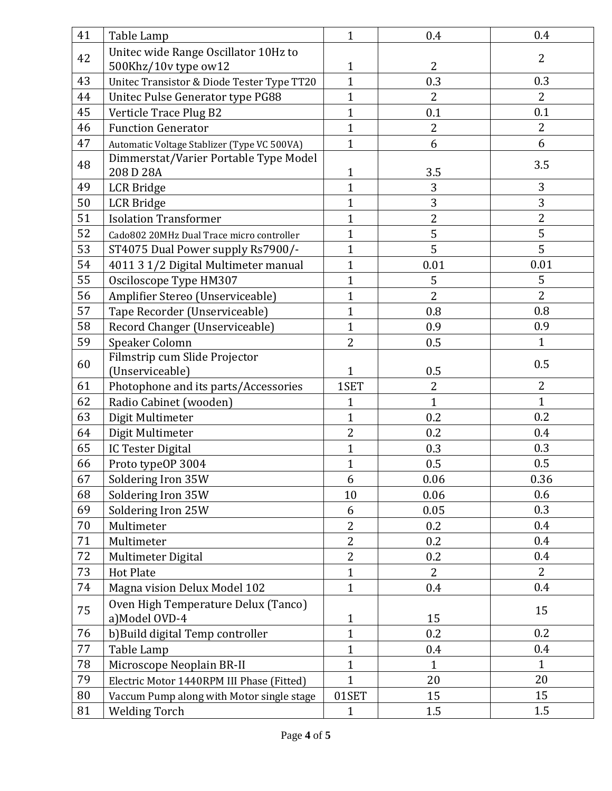| 41 | Table Lamp                                  | $\mathbf{1}$   | 0.4            | 0.4            |
|----|---------------------------------------------|----------------|----------------|----------------|
| 42 | Unitec wide Range Oscillator 10Hz to        |                |                | 2              |
|    | 500Khz/10v type ow12                        | $\mathbf{1}$   | $\overline{2}$ |                |
| 43 | Unitec Transistor & Diode Tester Type TT20  | $\overline{1}$ | 0.3            | 0.3            |
| 44 | Unitec Pulse Generator type PG88            | $\mathbf{1}$   | $\overline{2}$ | $\overline{2}$ |
| 45 | Verticle Trace Plug B2                      | $\overline{1}$ | 0.1            | 0.1            |
| 46 | <b>Function Generator</b>                   | $\mathbf{1}$   | $\overline{2}$ | $\overline{2}$ |
| 47 | Automatic Voltage Stablizer (Type VC 500VA) | $\mathbf{1}$   | 6              | 6              |
|    | Dimmerstat/Varier Portable Type Model       |                |                |                |
| 48 | 208 D 28A                                   | $\mathbf{1}$   | 3.5            | 3.5            |
| 49 | <b>LCR</b> Bridge                           | $\mathbf{1}$   | 3              | 3              |
| 50 | <b>LCR</b> Bridge                           | $\mathbf{1}$   | 3              | 3              |
| 51 | <b>Isolation Transformer</b>                | $\mathbf{1}$   | $\overline{2}$ | $\overline{2}$ |
| 52 | Cado802 20MHz Dual Trace micro controller   | $\overline{1}$ | 5              | 5              |
| 53 | ST4075 Dual Power supply Rs7900/-           | $\overline{1}$ | 5              | 5              |
| 54 | 4011 3 1/2 Digital Multimeter manual        | $\mathbf{1}$   | 0.01           | 0.01           |
| 55 | Osciloscope Type HM307                      | $\overline{1}$ | 5              | 5              |
| 56 | Amplifier Stereo (Unserviceable)            | $\mathbf{1}$   | $\overline{2}$ | $\overline{2}$ |
| 57 | Tape Recorder (Unserviceable)               | $\mathbf{1}$   | 0.8            | 0.8            |
| 58 | Record Changer (Unserviceable)              | $\overline{1}$ | 0.9            | 0.9            |
| 59 | Speaker Colomn                              | $\overline{2}$ | 0.5            | $\mathbf{1}$   |
| 60 | Filmstrip cum Slide Projector               |                |                | 0.5            |
|    | (Unserviceable)                             | 1              | 0.5            |                |
| 61 | Photophone and its parts/Accessories        | 1SET           | $\overline{2}$ | $\overline{2}$ |
| 62 | Radio Cabinet (wooden)                      | $\mathbf{1}$   | $\mathbf{1}$   | $\mathbf{1}$   |
| 63 | Digit Multimeter                            | $\mathbf{1}$   | 0.2            | 0.2            |
| 64 | Digit Multimeter                            | $\overline{2}$ | 0.2            | 0.4            |
| 65 | <b>IC Tester Digital</b>                    | $\mathbf{1}$   | 0.3            | 0.3            |
| 66 | Proto typeOP 3004                           | $\mathbf{1}$   | 0.5            | 0.5            |
| 67 | Soldering Iron 35W                          | 6              | 0.06           | 0.36           |
| 68 | Soldering Iron 35W                          | 10             | 0.06           | 0.6            |
| 69 | Soldering Iron 25W                          | 6              | 0.05           | 0.3            |
| 70 | Multimeter                                  | $\overline{2}$ | 0.2            | 0.4            |
| 71 | Multimeter                                  | $\overline{2}$ | 0.2            | 0.4            |
| 72 | Multimeter Digital                          | $\overline{2}$ | 0.2            | 0.4            |
| 73 | <b>Hot Plate</b>                            | $\mathbf{1}$   | $\overline{2}$ | $\overline{2}$ |
| 74 | Magna vision Delux Model 102                | $\mathbf{1}$   | 0.4            | 0.4            |
|    | Oven High Temperature Delux (Tanco)         |                |                | 15             |
| 75 | a) Model OVD-4                              | $\mathbf{1}$   | 15             |                |
| 76 | b) Build digital Temp controller            | $\mathbf{1}$   | 0.2            | 0.2            |
| 77 | Table Lamp                                  | $\mathbf{1}$   | 0.4            | 0.4            |
| 78 | Microscope Neoplain BR-II                   | $\mathbf{1}$   | $\mathbf{1}$   | $\mathbf{1}$   |
| 79 | Electric Motor 1440RPM III Phase (Fitted)   | $\overline{1}$ | 20             | 20             |
| 80 | Vaccum Pump along with Motor single stage   | 01SET          | 15             | 15             |
| 81 | <b>Welding Torch</b>                        | 1              | 1.5            | 1.5            |